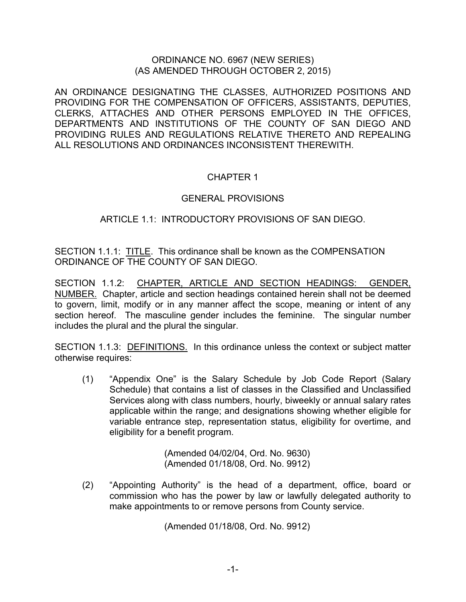### ORDINANCE NO. 6967 (NEW SERIES) (AS AMENDED THROUGH OCTOBER 2, 2015)

AN ORDINANCE DESIGNATING THE CLASSES, AUTHORIZED POSITIONS AND PROVIDING FOR THE COMPENSATION OF OFFICERS, ASSISTANTS, DEPUTIES, CLERKS, ATTACHES AND OTHER PERSONS EMPLOYED IN THE OFFICES, DEPARTMENTS AND INSTITUTIONS OF THE COUNTY OF SAN DIEGO AND PROVIDING RULES AND REGULATIONS RELATIVE THERETO AND REPEALING ALL RESOLUTIONS AND ORDINANCES INCONSISTENT THEREWITH.

# CHAPTER 1

## GENERAL PROVISIONS

# ARTICLE 1.1: INTRODUCTORY PROVISIONS OF SAN DIEGO.

SECTION 1.1.1: TITLE. This ordinance shall be known as the COMPENSATION ORDINANCE OF THE COUNTY OF SAN DIEGO.

SECTION 1.1.2: CHAPTER, ARTICLE AND SECTION HEADINGS: GENDER, NUMBER. Chapter, article and section headings contained herein shall not be deemed to govern, limit, modify or in any manner affect the scope, meaning or intent of any section hereof. The masculine gender includes the feminine. The singular number includes the plural and the plural the singular.

SECTION 1.1.3: DEFINITIONS. In this ordinance unless the context or subject matter otherwise requires:

(1) "Appendix One" is the Salary Schedule by Job Code Report (Salary Schedule) that contains a list of classes in the Classified and Unclassified Services along with class numbers, hourly, biweekly or annual salary rates applicable within the range; and designations showing whether eligible for variable entrance step, representation status, eligibility for overtime, and eligibility for a benefit program.

> (Amended 04/02/04, Ord. No. 9630) (Amended 01/18/08, Ord. No. 9912)

 (2) "Appointing Authority" is the head of a department, office, board or commission who has the power by law or lawfully delegated authority to make appointments to or remove persons from County service.

(Amended 01/18/08, Ord. No. 9912)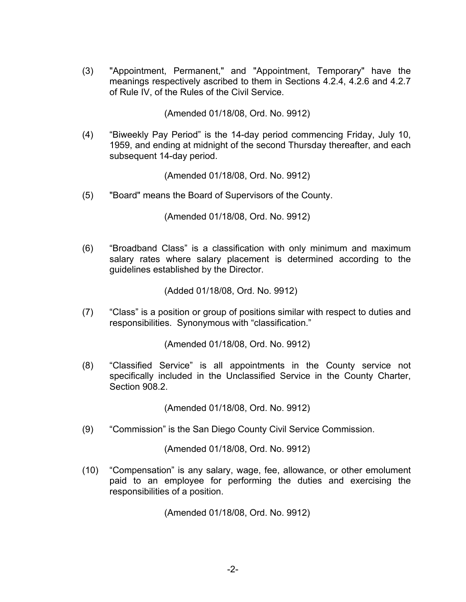(3) "Appointment, Permanent," and "Appointment, Temporary" have the meanings respectively ascribed to them in Sections 4.2.4, 4.2.6 and 4.2.7 of Rule IV, of the Rules of the Civil Service.

(Amended 01/18/08, Ord. No. 9912)

(4) "Biweekly Pay Period" is the 14-day period commencing Friday, July 10, 1959, and ending at midnight of the second Thursday thereafter, and each subsequent 14-day period.

(Amended 01/18/08, Ord. No. 9912)

(5) "Board" means the Board of Supervisors of the County.

(Amended 01/18/08, Ord. No. 9912)

(6) "Broadband Class" is a classification with only minimum and maximum salary rates where salary placement is determined according to the guidelines established by the Director.

(Added 01/18/08, Ord. No. 9912)

(7) "Class" is a position or group of positions similar with respect to duties and responsibilities. Synonymous with "classification."

(Amended 01/18/08, Ord. No. 9912)

 (8) "Classified Service" is all appointments in the County service not specifically included in the Unclassified Service in the County Charter, Section 908.2.

(Amended 01/18/08, Ord. No. 9912)

(9) "Commission" is the San Diego County Civil Service Commission.

(Amended 01/18/08, Ord. No. 9912)

(10) "Compensation" is any salary, wage, fee, allowance, or other emolument paid to an employee for performing the duties and exercising the responsibilities of a position.

(Amended 01/18/08, Ord. No. 9912)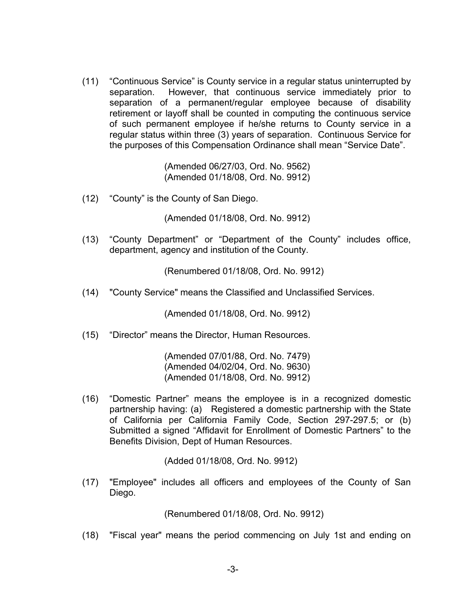(11) "Continuous Service" is County service in a regular status uninterrupted by separation. However, that continuous service immediately prior to separation of a permanent/regular employee because of disability retirement or layoff shall be counted in computing the continuous service of such permanent employee if he/she returns to County service in a regular status within three (3) years of separation. Continuous Service for the purposes of this Compensation Ordinance shall mean "Service Date".

> (Amended 06/27/03, Ord. No. 9562) (Amended 01/18/08, Ord. No. 9912)

(12) "County" is the County of San Diego.

(Amended 01/18/08, Ord. No. 9912)

(13) "County Department" or "Department of the County" includes office, department, agency and institution of the County.

(Renumbered 01/18/08, Ord. No. 9912)

(14) "County Service" means the Classified and Unclassified Services.

(Amended 01/18/08, Ord. No. 9912)

(15) "Director" means the Director, Human Resources.

 (Amended 07/01/88, Ord. No. 7479) (Amended 04/02/04, Ord. No. 9630) (Amended 01/18/08, Ord. No. 9912)

(16) "Domestic Partner" means the employee is in a recognized domestic partnership having: (a) Registered a domestic partnership with the State of California per California Family Code, Section 297-297.5; or (b) Submitted a signed "Affidavit for Enrollment of Domestic Partners" to the Benefits Division, Dept of Human Resources.

(Added 01/18/08, Ord. No. 9912)

(17) "Employee" includes all officers and employees of the County of San Diego.

(Renumbered 01/18/08, Ord. No. 9912)

(18) "Fiscal year" means the period commencing on July 1st and ending on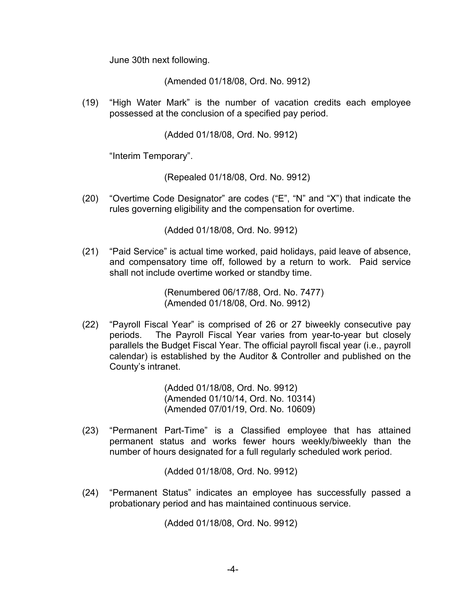June 30th next following.

(Amended 01/18/08, Ord. No. 9912)

(19) "High Water Mark" is the number of vacation credits each employee possessed at the conclusion of a specified pay period.

(Added 01/18/08, Ord. No. 9912)

"Interim Temporary".

(Repealed 01/18/08, Ord. No. 9912)

(20) "Overtime Code Designator" are codes ("E", "N" and "X") that indicate the rules governing eligibility and the compensation for overtime.

(Added 01/18/08, Ord. No. 9912)

(21) "Paid Service" is actual time worked, paid holidays, paid leave of absence, and compensatory time off, followed by a return to work. Paid service shall not include overtime worked or standby time.

> (Renumbered 06/17/88, Ord. No. 7477) (Amended 01/18/08, Ord. No. 9912)

(22) "Payroll Fiscal Year" is comprised of 26 or 27 biweekly consecutive pay periods. The Payroll Fiscal Year varies from year-to-year but closely parallels the Budget Fiscal Year. The official payroll fiscal year (i.e., payroll calendar) is established by the Auditor & Controller and published on the County's intranet.

> (Added 01/18/08, Ord. No. 9912) (Amended 01/10/14, Ord. No. 10314) (Amended 07/01/19, Ord. No. 10609)

(23) "Permanent Part-Time" is a Classified employee that has attained permanent status and works fewer hours weekly/biweekly than the number of hours designated for a full regularly scheduled work period.

(Added 01/18/08, Ord. No. 9912)

(24) "Permanent Status" indicates an employee has successfully passed a probationary period and has maintained continuous service.

(Added 01/18/08, Ord. No. 9912)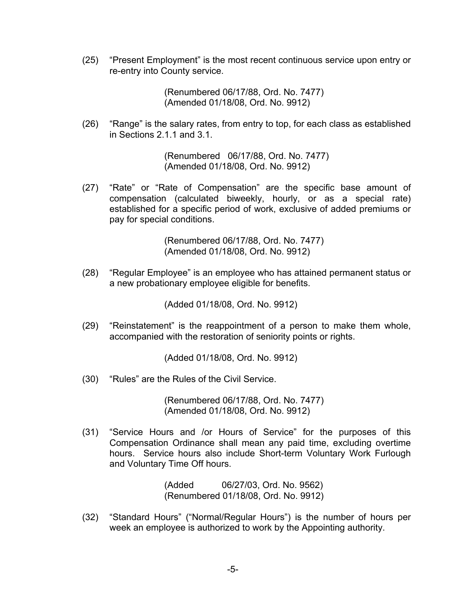(25) "Present Employment" is the most recent continuous service upon entry or re-entry into County service.

> (Renumbered 06/17/88, Ord. No. 7477) (Amended 01/18/08, Ord. No. 9912)

 (26) "Range" is the salary rates, from entry to top, for each class as established in Sections 2.1.1 and 3.1.

> (Renumbered 06/17/88, Ord. No. 7477) (Amended 01/18/08, Ord. No. 9912)

(27) "Rate" or "Rate of Compensation" are the specific base amount of compensation (calculated biweekly, hourly, or as a special rate) established for a specific period of work, exclusive of added premiums or pay for special conditions.

> (Renumbered 06/17/88, Ord. No. 7477) (Amended 01/18/08, Ord. No. 9912)

(28) "Regular Employee" is an employee who has attained permanent status or a new probationary employee eligible for benefits.

(Added 01/18/08, Ord. No. 9912)

(29) "Reinstatement" is the reappointment of a person to make them whole, accompanied with the restoration of seniority points or rights.

(Added 01/18/08, Ord. No. 9912)

(30) "Rules" are the Rules of the Civil Service.

 (Renumbered 06/17/88, Ord. No. 7477) (Amended 01/18/08, Ord. No. 9912)

(31) "Service Hours and /or Hours of Service" for the purposes of this Compensation Ordinance shall mean any paid time, excluding overtime hours. Service hours also include Short-term Voluntary Work Furlough and Voluntary Time Off hours.

> (Added 06/27/03, Ord. No. 9562) (Renumbered 01/18/08, Ord. No. 9912)

(32) "Standard Hours" ("Normal/Regular Hours") is the number of hours per week an employee is authorized to work by the Appointing authority.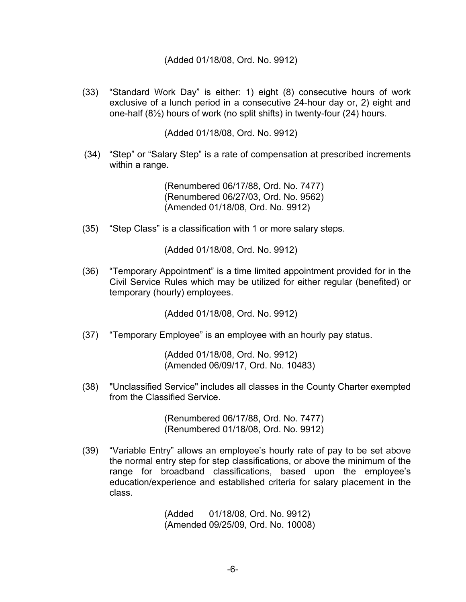#### (Added 01/18/08, Ord. No. 9912)

(33) "Standard Work Day" is either: 1) eight (8) consecutive hours of work exclusive of a lunch period in a consecutive 24-hour day or, 2) eight and one-half (8½) hours of work (no split shifts) in twenty-four (24) hours.

(Added 01/18/08, Ord. No. 9912)

(34) "Step" or "Salary Step" is a rate of compensation at prescribed increments within a range.

> (Renumbered 06/17/88, Ord. No. 7477) (Renumbered 06/27/03, Ord. No. 9562) (Amended 01/18/08, Ord. No. 9912)

(35) "Step Class" is a classification with 1 or more salary steps.

(Added 01/18/08, Ord. No. 9912)

(36) "Temporary Appointment" is a time limited appointment provided for in the Civil Service Rules which may be utilized for either regular (benefited) or temporary (hourly) employees.

(Added 01/18/08, Ord. No. 9912)

(37) "Temporary Employee" is an employee with an hourly pay status.

(Added 01/18/08, Ord. No. 9912) (Amended 06/09/17, Ord. No. 10483)

(38) "Unclassified Service" includes all classes in the County Charter exempted from the Classified Service.

> (Renumbered 06/17/88, Ord. No. 7477) (Renumbered 01/18/08, Ord. No. 9912)

(39) "Variable Entry" allows an employee's hourly rate of pay to be set above the normal entry step for step classifications, or above the minimum of the range for broadband classifications, based upon the employee's education/experience and established criteria for salary placement in the class.

> (Added 01/18/08, Ord. No. 9912) (Amended 09/25/09, Ord. No. 10008)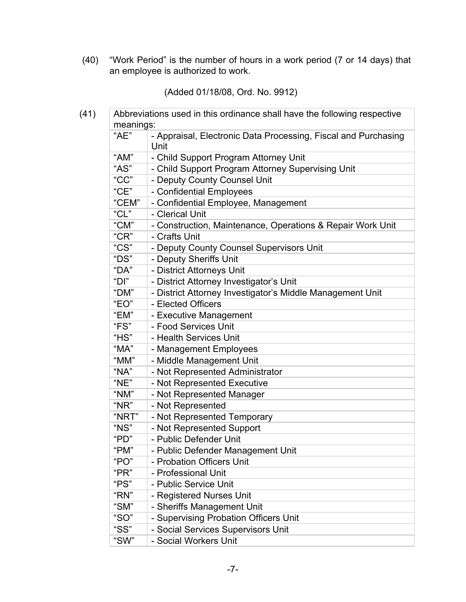(40) "Work Period" is the number of hours in a work period (7 or 14 days) that an employee is authorized to work.

(Added 01/18/08, Ord. No. 9912)

| meanings:         | Abbreviations used in this ordinance shall have the following respective |
|-------------------|--------------------------------------------------------------------------|
| "AE"              | - Appraisal, Electronic Data Processing, Fiscal and Purchasing<br>Unit   |
| "AM"              | - Child Support Program Attorney Unit                                    |
| "AS"              | - Child Support Program Attorney Supervising Unit                        |
| "CC"              | - Deputy County Counsel Unit                                             |
| C <sup>''</sup> C | - Confidential Employees                                                 |
| "CEM"             | - Confidential Employee, Management                                      |
| "CL"              | - Clerical Unit                                                          |
| "CM"              | - Construction, Maintenance, Operations & Repair Work Unit               |
| $C^{\prime}$ CR"  | - Crafts Unit                                                            |
| "CS"              | - Deputy County Counsel Supervisors Unit                                 |
| "DS"              | - Deputy Sheriffs Unit                                                   |
| "DA"              | - District Attorneys Unit                                                |
| "D"               | - District Attorney Investigator's Unit                                  |
| "DM"              | - District Attorney Investigator's Middle Management Unit                |
| "EO"              | - Elected Officers                                                       |
| "EM"              | - Executive Management                                                   |
| "FS"              | - Food Services Unit                                                     |
| H.S.              | - Health Services Unit                                                   |
| "MA"              | - Management Employees                                                   |
| "MM"              | - Middle Management Unit                                                 |
| "NA"              | - Not Represented Administrator                                          |
| "NE"              | - Not Represented Executive                                              |
| "NM"              | - Not Represented Manager                                                |
| "NR"              | - Not Represented                                                        |
| "NRT"             | - Not Represented Temporary                                              |
| "NS"              | - Not Represented Support                                                |
| "PD"              | - Public Defender Unit                                                   |
| "PM"              | - Public Defender Management Unit                                        |
| "PO"              | - Probation Officers Unit                                                |
| "PR"              | - Professional Unit                                                      |
| "PS"              | - Public Service Unit                                                    |
| "RN"              | - Registered Nurses Unit                                                 |
| " $SM"$           | - Sheriffs Management Unit                                               |
| "SO"              | - Supervising Probation Officers Unit                                    |
| "SS"              | - Social Services Supervisors Unit                                       |
| "SW"              | - Social Workers Unit                                                    |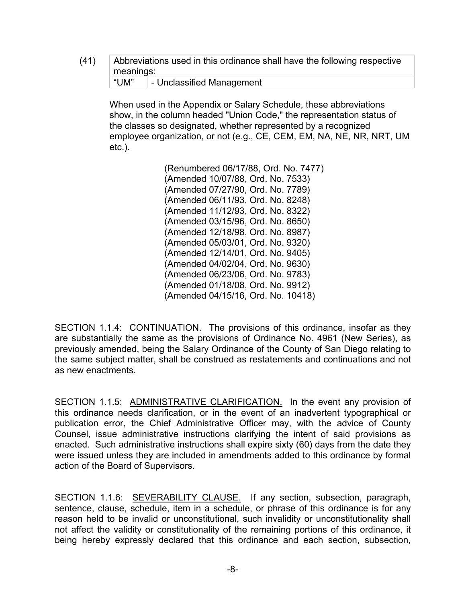(41) Abbreviations used in this ordinance shall have the following respective meanings: "UM" | - Unclassified Management

When used in the Appendix or Salary Schedule, these abbreviations show, in the column headed "Union Code," the representation status of the classes so designated, whether represented by a recognized employee organization, or not (e.g., CE, CEM, EM, NA, NE, NR, NRT, UM etc.).

> (Renumbered 06/17/88, Ord. No. 7477) (Amended 10/07/88, Ord. No. 7533) (Amended 07/27/90, Ord. No. 7789) (Amended 06/11/93, Ord. No. 8248) (Amended 11/12/93, Ord. No. 8322) (Amended 03/15/96, Ord. No. 8650) (Amended 12/18/98, Ord. No. 8987) (Amended 05/03/01, Ord. No. 9320) (Amended 12/14/01, Ord. No. 9405) (Amended 04/02/04, Ord. No. 9630) (Amended 06/23/06, Ord. No. 9783) (Amended 01/18/08, Ord. No. 9912) (Amended 04/15/16, Ord. No. 10418)

SECTION 1.1.4: CONTINUATION. The provisions of this ordinance, insofar as they are substantially the same as the provisions of Ordinance No. 4961 (New Series), as previously amended, being the Salary Ordinance of the County of San Diego relating to the same subject matter, shall be construed as restatements and continuations and not as new enactments.

SECTION 1.1.5: ADMINISTRATIVE CLARIFICATION. In the event any provision of this ordinance needs clarification, or in the event of an inadvertent typographical or publication error, the Chief Administrative Officer may, with the advice of County Counsel, issue administrative instructions clarifying the intent of said provisions as enacted. Such administrative instructions shall expire sixty (60) days from the date they were issued unless they are included in amendments added to this ordinance by formal action of the Board of Supervisors.

SECTION 1.1.6: SEVERABILITY CLAUSE. If any section, subsection, paragraph, sentence, clause, schedule, item in a schedule, or phrase of this ordinance is for any reason held to be invalid or unconstitutional, such invalidity or unconstitutionality shall not affect the validity or constitutionality of the remaining portions of this ordinance, it being hereby expressly declared that this ordinance and each section, subsection,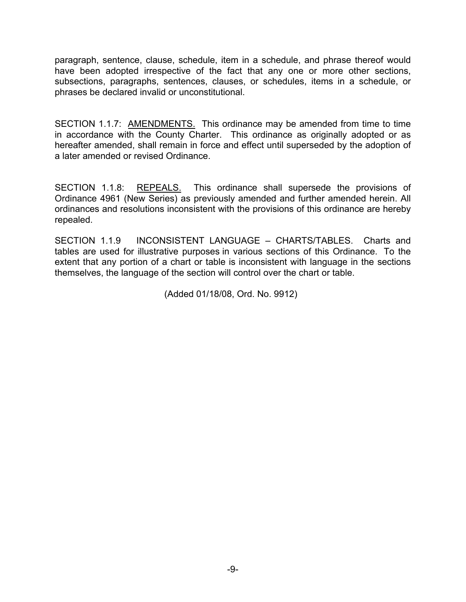paragraph, sentence, clause, schedule, item in a schedule, and phrase thereof would have been adopted irrespective of the fact that any one or more other sections, subsections, paragraphs, sentences, clauses, or schedules, items in a schedule, or phrases be declared invalid or unconstitutional.

SECTION 1.1.7: AMENDMENTS. This ordinance may be amended from time to time in accordance with the County Charter. This ordinance as originally adopted or as hereafter amended, shall remain in force and effect until superseded by the adoption of a later amended or revised Ordinance.

SECTION 1.1.8: REPEALS. This ordinance shall supersede the provisions of Ordinance 4961 (New Series) as previously amended and further amended herein. All ordinances and resolutions inconsistent with the provisions of this ordinance are hereby repealed.

SECTION 1.1.9 INCONSISTENT LANGUAGE – CHARTS/TABLES. Charts and tables are used for illustrative purposes in various sections of this Ordinance. To the extent that any portion of a chart or table is inconsistent with language in the sections themselves, the language of the section will control over the chart or table.

(Added 01/18/08, Ord. No. 9912)